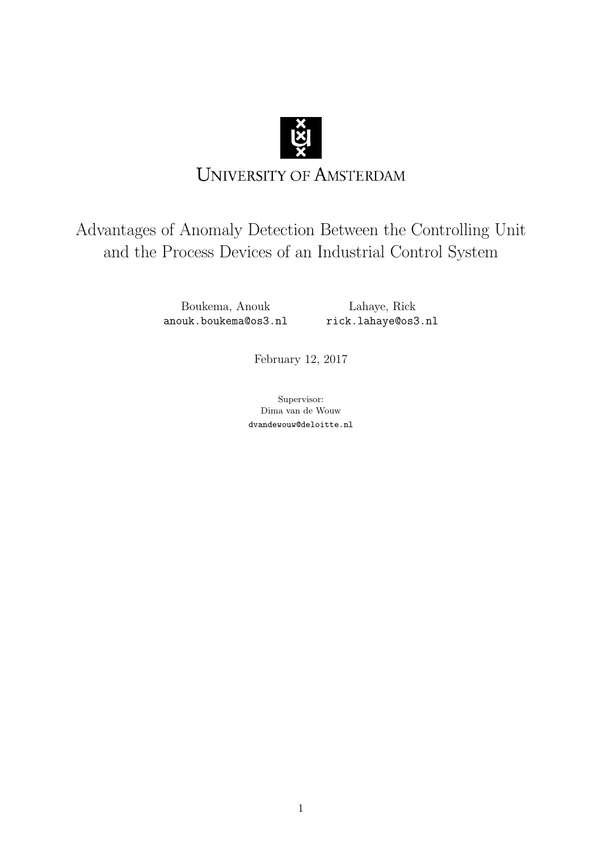

# **UNIVERSITY OF AMSTERDAM**

# Advantages of Anomaly Detection Between the Controlling Unit and the Process Devices of an Industrial Control System

Boukema, Anouk anouk.boukema@os3.nl

Lahaye, Rick rick.lahaye@os3.nl

February 12, 2017

Supervisor: Dima van de Wouw dvandewouw@deloitte.nl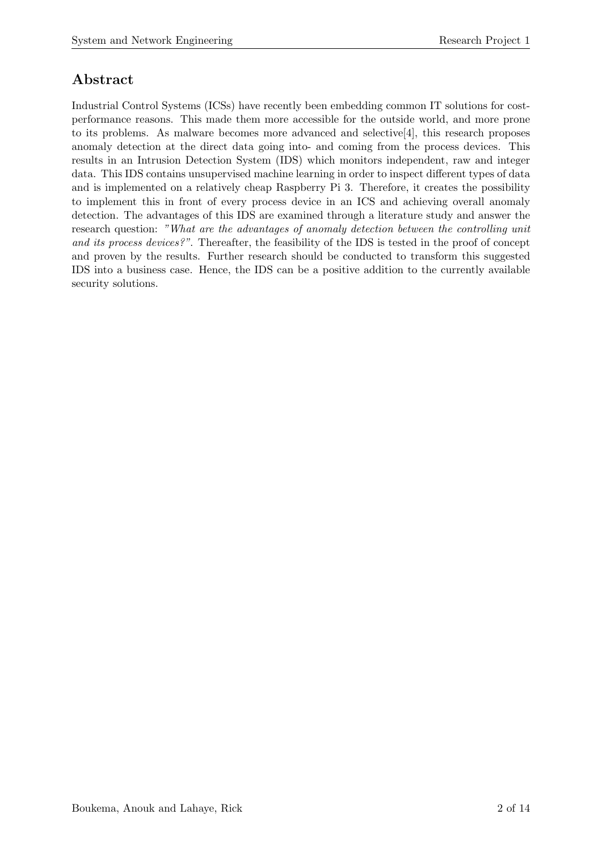# Abstract

Industrial Control Systems (ICSs) have recently been embedding common IT solutions for costperformance reasons. This made them more accessible for the outside world, and more prone to its problems. As malware becomes more advanced and selective[\[4\]](#page-12-0), this research proposes anomaly detection at the direct data going into- and coming from the process devices. This results in an Intrusion Detection System (IDS) which monitors independent, raw and integer data. This IDS contains unsupervised machine learning in order to inspect different types of data and is implemented on a relatively cheap Raspberry Pi 3. Therefore, it creates the possibility to implement this in front of every process device in an ICS and achieving overall anomaly detection. The advantages of this IDS are examined through a literature study and answer the research question: *"What are the advantages of anomaly detection between the controlling unit and its process devices?"*. Thereafter, the feasibility of the IDS is tested in the proof of concept and proven by the results. Further research should be conducted to transform this suggested IDS into a business case. Hence, the IDS can be a positive addition to the currently available security solutions.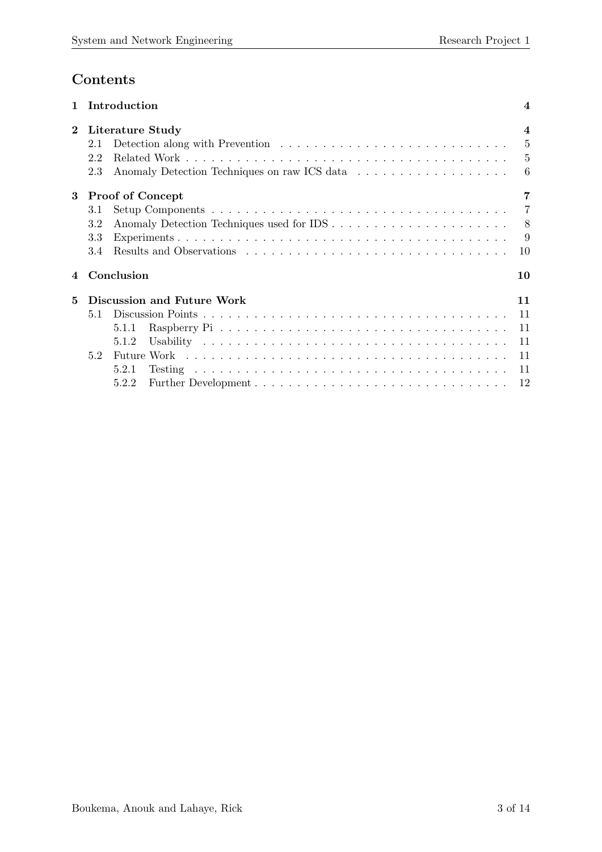# Contents

| 1        |     | Introduction                                 | 4                       |
|----------|-----|----------------------------------------------|-------------------------|
| $\bf{2}$ |     | Literature Study                             | $\overline{\mathbf{4}}$ |
|          | 2.1 |                                              | 5                       |
|          | 2.2 |                                              | 5                       |
|          | 2.3 | Anomaly Detection Techniques on raw ICS data | 6                       |
| 3        |     | <b>Proof of Concept</b>                      |                         |
|          | 3.1 |                                              | 7                       |
|          | 3.2 |                                              | 8                       |
|          | 3.3 |                                              | 9                       |
|          | 3.4 |                                              | 10                      |
| 4        |     | Conclusion                                   | 10                      |
| 5        |     | Discussion and Future Work                   | 11                      |
|          | 5.1 |                                              | 11                      |
|          |     | 5.1.1                                        | 11                      |
|          |     | 5.1.2                                        | 11                      |
|          | 5.2 |                                              | 11                      |
|          |     | 5.2.1                                        | 11                      |
|          |     | 5.2.2                                        | 12                      |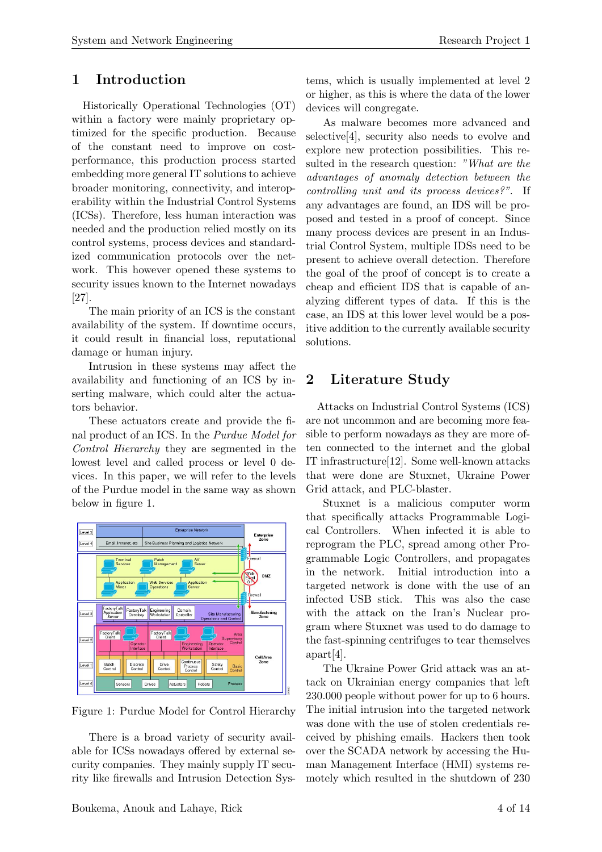# <span id="page-3-0"></span>1 Introduction

Historically Operational Technologies (OT) within a factory were mainly proprietary optimized for the specific production. Because of the constant need to improve on costperformance, this production process started embedding more general IT solutions to achieve broader monitoring, connectivity, and interoperability within the Industrial Control Systems (ICSs). Therefore, less human interaction was needed and the production relied mostly on its control systems, process devices and standardized communication protocols over the network. This however opened these systems to security issues known to the Internet nowadays [\[27\]](#page-13-1).

The main priority of an ICS is the constant availability of the system. If downtime occurs, it could result in financial loss, reputational damage or human injury.

Intrusion in these systems may affect the availability and functioning of an ICS by inserting malware, which could alter the actuators behavior.

These actuators create and provide the final product of an ICS. In the *Purdue Model for Control Hierarchy* they are segmented in the lowest level and called process or level 0 devices. In this paper, we will refer to the levels of the Purdue model in the same way as shown below in figure [1.](#page-3-2)



<span id="page-3-2"></span>Figure 1: Purdue Model for Control Hierarchy

There is a broad variety of security available for ICSs nowadays offered by external security companies. They mainly supply IT security like firewalls and Intrusion Detection Systems, which is usually implemented at level 2 or higher, as this is where the data of the lower devices will congregate.

As malware becomes more advanced and selective[\[4\]](#page-12-0), security also needs to evolve and explore new protection possibilities. This resulted in the research question: *"What are the advantages of anomaly detection between the controlling unit and its process devices?"*. If any advantages are found, an IDS will be proposed and tested in a proof of concept. Since many process devices are present in an Industrial Control System, multiple IDSs need to be present to achieve overall detection. Therefore the goal of the proof of concept is to create a cheap and efficient IDS that is capable of analyzing different types of data. If this is the case, an IDS at this lower level would be a positive addition to the currently available security solutions.

# <span id="page-3-1"></span>2 Literature Study

Attacks on Industrial Control Systems (ICS) are not uncommon and are becoming more feasible to perform nowadays as they are more often connected to the internet and the global IT infrastructure[\[12\]](#page-12-1). Some well-known attacks that were done are Stuxnet, Ukraine Power Grid attack, and PLC-blaster.

Stuxnet is a malicious computer worm that specifically attacks Programmable Logical Controllers. When infected it is able to reprogram the PLC, spread among other Programmable Logic Controllers, and propagates in the network. Initial introduction into a targeted network is done with the use of an infected USB stick. This was also the case with the attack on the Iran's Nuclear program where Stuxnet was used to do damage to the fast-spinning centrifuges to tear themselves apart[\[4\]](#page-12-0).

The Ukraine Power Grid attack was an attack on Ukrainian energy companies that left 230.000 people without power for up to 6 hours. The initial intrusion into the targeted network was done with the use of stolen credentials received by phishing emails. Hackers then took over the SCADA network by accessing the Human Management Interface (HMI) systems remotely which resulted in the shutdown of 230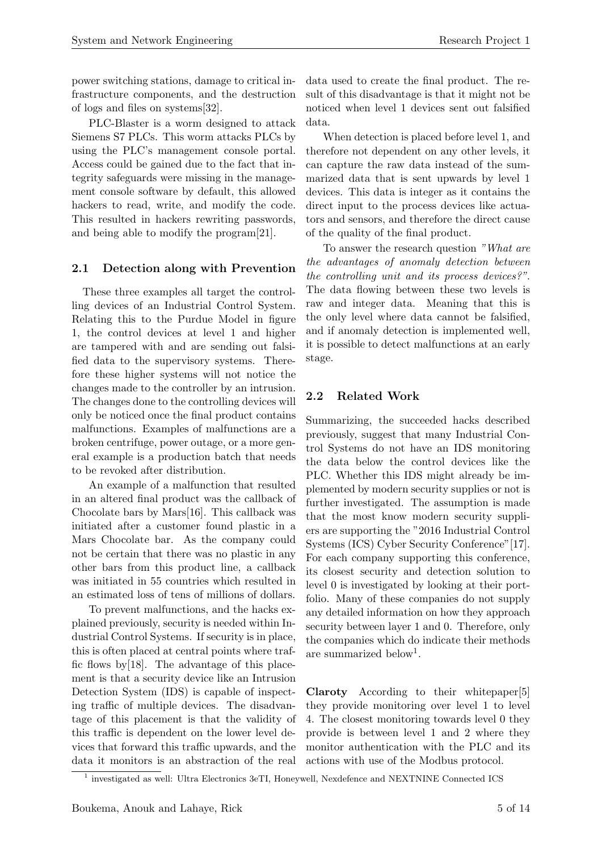power switching stations, damage to critical infrastructure components, and the destruction of logs and files on systems[\[32\]](#page-13-2).

PLC-Blaster is a worm designed to attack Siemens S7 PLCs. This worm attacks PLCs by using the PLC's management console portal. Access could be gained due to the fact that integrity safeguards were missing in the management console software by default, this allowed hackers to read, write, and modify the code. This resulted in hackers rewriting passwords, and being able to modify the program[\[21\]](#page-12-2).

# <span id="page-4-0"></span>2.1 Detection along with Prevention

These three examples all target the controlling devices of an Industrial Control System. Relating this to the Purdue Model in figure [1,](#page-3-2) the control devices at level 1 and higher are tampered with and are sending out falsified data to the supervisory systems. Therefore these higher systems will not notice the changes made to the controller by an intrusion. The changes done to the controlling devices will only be noticed once the final product contains malfunctions. Examples of malfunctions are a broken centrifuge, power outage, or a more general example is a production batch that needs to be revoked after distribution.

An example of a malfunction that resulted in an altered final product was the callback of Chocolate bars by Mars[\[16\]](#page-12-3). This callback was initiated after a customer found plastic in a Mars Chocolate bar. As the company could not be certain that there was no plastic in any other bars from this product line, a callback was initiated in 55 countries which resulted in an estimated loss of tens of millions of dollars.

To prevent malfunctions, and the hacks explained previously, security is needed within Industrial Control Systems. If security is in place, this is often placed at central points where traffic flows by[\[18\]](#page-12-4). The advantage of this placement is that a security device like an Intrusion Detection System (IDS) is capable of inspecting traffic of multiple devices. The disadvantage of this placement is that the validity of this traffic is dependent on the lower level devices that forward this traffic upwards, and the data it monitors is an abstraction of the real data used to create the final product. The result of this disadvantage is that it might not be noticed when level 1 devices sent out falsified data.

When detection is placed before level 1, and therefore not dependent on any other levels, it can capture the raw data instead of the summarized data that is sent upwards by level 1 devices. This data is integer as it contains the direct input to the process devices like actuators and sensors, and therefore the direct cause of the quality of the final product.

To answer the research question *"What are the advantages of anomaly detection between the controlling unit and its process devices?"*. The data flowing between these two levels is raw and integer data. Meaning that this is the only level where data cannot be falsified, and if anomaly detection is implemented well, it is possible to detect malfunctions at an early stage.

# <span id="page-4-1"></span>2.2 Related Work

Summarizing, the succeeded hacks described previously, suggest that many Industrial Control Systems do not have an IDS monitoring the data below the control devices like the PLC. Whether this IDS might already be implemented by modern security supplies or not is further investigated. The assumption is made that the most know modern security suppliers are supporting the "2016 Industrial Control Systems (ICS) Cyber Security Conference"[\[17\]](#page-12-5). For each company supporting this conference, its closest security and detection solution to level 0 is investigated by looking at their portfolio. Many of these companies do not supply any detailed information on how they approach security between layer 1 and 0. Therefore, only the companies which do indicate their methods are summarized below<sup>[1](#page-4-2)</sup>.

Claroty According to their whitepaper[\[5\]](#page-12-6) they provide monitoring over level 1 to level 4. The closest monitoring towards level 0 they provide is between level 1 and 2 where they monitor authentication with the PLC and its actions with use of the Modbus protocol.

<span id="page-4-2"></span><sup>1</sup> investigated as well: Ultra Electronics 3eTI, Honeywell, Nexdefence and NEXTNINE Connected ICS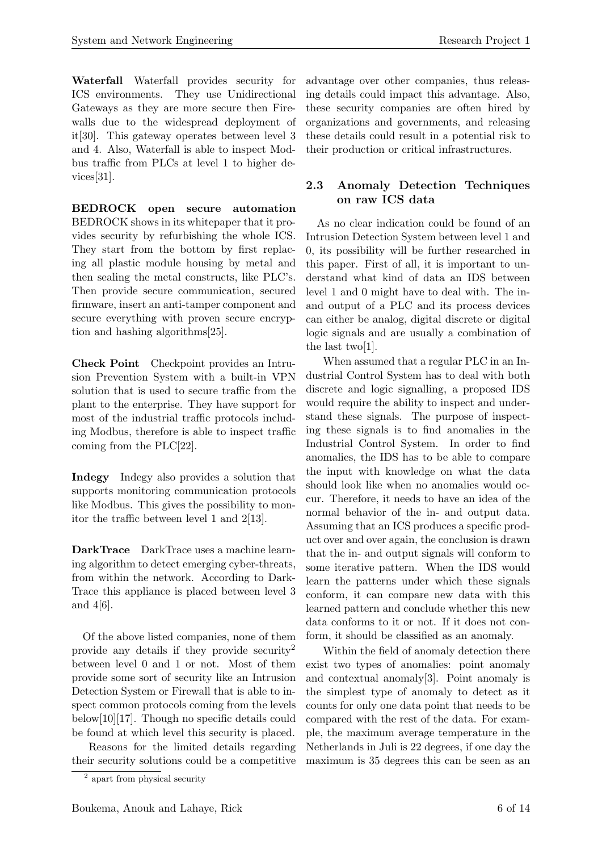Waterfall Waterfall provides security for ICS environments. They use Unidirectional Gateways as they are more secure then Firewalls due to the widespread deployment of it[\[30\]](#page-13-3). This gateway operates between level 3 and 4. Also, Waterfall is able to inspect Modbus traffic from PLCs at level 1 to higher devices[\[31\]](#page-13-4).

BEDROCK open secure automation BEDROCK shows in its whitepaper that it provides security by refurbishing the whole ICS. They start from the bottom by first replacing all plastic module housing by metal and then sealing the metal constructs, like PLC's. Then provide secure communication, secured firmware, insert an anti-tamper component and secure everything with proven secure encryption and hashing algorithms[\[25\]](#page-13-5).

Check Point Checkpoint provides an Intrusion Prevention System with a built-in VPN solution that is used to secure traffic from the plant to the enterprise. They have support for most of the industrial traffic protocols including Modbus, therefore is able to inspect traffic coming from the PLC[\[22\]](#page-13-6).

Indegy Indegy also provides a solution that supports monitoring communication protocols like Modbus. This gives the possibility to monitor the traffic between level 1 and  $2[13]$  $2[13]$ .

DarkTrace DarkTrace uses a machine learning algorithm to detect emerging cyber-threats, from within the network. According to Dark-Trace this appliance is placed between level 3 and 4[\[6\]](#page-12-8).

Of the above listed companies, none of them provide any details if they provide security[2](#page-5-1) between level 0 and 1 or not. Most of them provide some sort of security like an Intrusion Detection System or Firewall that is able to inspect common protocols coming from the levels below[\[10\]](#page-12-9)[\[17\]](#page-12-5). Though no specific details could be found at which level this security is placed.

Reasons for the limited details regarding their security solutions could be a competitive

advantage over other companies, thus releasing details could impact this advantage. Also, these security companies are often hired by organizations and governments, and releasing these details could result in a potential risk to their production or critical infrastructures.

## <span id="page-5-0"></span>2.3 Anomaly Detection Techniques on raw ICS data

As no clear indication could be found of an Intrusion Detection System between level 1 and 0, its possibility will be further researched in this paper. First of all, it is important to understand what kind of data an IDS between level 1 and 0 might have to deal with. The inand output of a PLC and its process devices can either be analog, digital discrete or digital logic signals and are usually a combination of the last two[\[1\]](#page-12-10).

When assumed that a regular PLC in an Industrial Control System has to deal with both discrete and logic signalling, a proposed IDS would require the ability to inspect and understand these signals. The purpose of inspecting these signals is to find anomalies in the Industrial Control System. In order to find anomalies, the IDS has to be able to compare the input with knowledge on what the data should look like when no anomalies would occur. Therefore, it needs to have an idea of the normal behavior of the in- and output data. Assuming that an ICS produces a specific product over and over again, the conclusion is drawn that the in- and output signals will conform to some iterative pattern. When the IDS would learn the patterns under which these signals conform, it can compare new data with this learned pattern and conclude whether this new data conforms to it or not. If it does not conform, it should be classified as an anomaly.

Within the field of anomaly detection there exist two types of anomalies: point anomaly and contextual anomaly[\[3\]](#page-12-11). Point anomaly is the simplest type of anomaly to detect as it counts for only one data point that needs to be compared with the rest of the data. For example, the maximum average temperature in the Netherlands in Juli is 22 degrees, if one day the maximum is 35 degrees this can be seen as an

<span id="page-5-1"></span><sup>2</sup> apart from physical security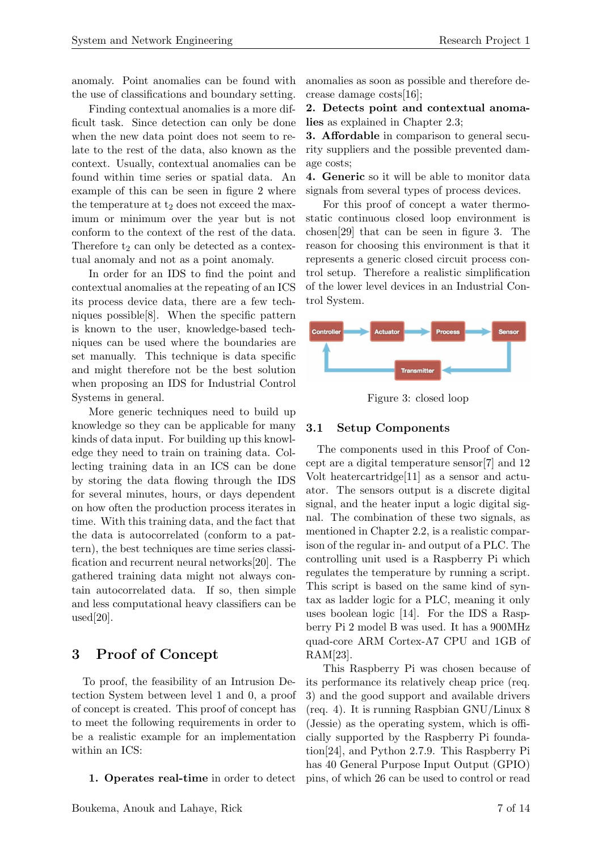anomaly. Point anomalies can be found with the use of classifications and boundary setting.

Finding contextual anomalies is a more difficult task. Since detection can only be done when the new data point does not seem to relate to the rest of the data, also known as the context. Usually, contextual anomalies can be found within time series or spatial data. An example of this can be seen in figure [2](#page-7-1) where the temperature at  $t_2$  does not exceed the maximum or minimum over the year but is not conform to the context of the rest of the data. Therefore  $t_2$  can only be detected as a contextual anomaly and not as a point anomaly.

In order for an IDS to find the point and contextual anomalies at the repeating of an ICS its process device data, there are a few techniques possible[\[8\]](#page-12-12). When the specific pattern is known to the user, knowledge-based techniques can be used where the boundaries are set manually. This technique is data specific and might therefore not be the best solution when proposing an IDS for Industrial Control Systems in general.

More generic techniques need to build up knowledge so they can be applicable for many kinds of data input. For building up this knowledge they need to train on training data. Collecting training data in an ICS can be done by storing the data flowing through the IDS for several minutes, hours, or days dependent on how often the production process iterates in time. With this training data, and the fact that the data is autocorrelated (conform to a pattern), the best techniques are time series classification and recurrent neural networks[\[20\]](#page-12-13). The gathered training data might not always contain autocorrelated data. If so, then simple and less computational heavy classifiers can be used[\[20\]](#page-12-13).

# <span id="page-6-0"></span>3 Proof of Concept

To proof, the feasibility of an Intrusion Detection System between level 1 and 0, a proof of concept is created. This proof of concept has to meet the following requirements in order to be a realistic example for an implementation within an ICS:

1. Operates real-time in order to detect

2. Detects point and contextual anomalies as explained in Chapter 2.3;

**3. Affordable** in comparison to general security suppliers and the possible prevented damage costs;

4. Generic so it will be able to monitor data signals from several types of process devices.

For this proof of concept a water thermostatic continuous closed loop environment is chosen[\[29\]](#page-13-7) that can be seen in figure [3.](#page-6-2) The reason for choosing this environment is that it represents a generic closed circuit process control setup. Therefore a realistic simplification of the lower level devices in an Industrial Control System.



<span id="page-6-2"></span>Figure 3: closed loop

### <span id="page-6-1"></span>3.1 Setup Components

The components used in this Proof of Concept are a digital temperature sensor[\[7\]](#page-12-14) and 12 Volt heatercartridge[\[11\]](#page-12-15) as a sensor and actuator. The sensors output is a discrete digital signal, and the heater input a logic digital signal. The combination of these two signals, as mentioned in Chapter 2.2, is a realistic comparison of the regular in- and output of a PLC. The controlling unit used is a Raspberry Pi which regulates the temperature by running a script. This script is based on the same kind of syntax as ladder logic for a PLC, meaning it only uses boolean logic [\[14\]](#page-12-16). For the IDS a Raspberry Pi 2 model B was used. It has a 900MHz quad-core ARM Cortex-A7 CPU and 1GB of RAM[\[23\]](#page-13-8).

This Raspberry Pi was chosen because of its performance its relatively cheap price (req. 3) and the good support and available drivers (req. 4). It is running Raspbian GNU/Linux 8  $(Jessie)$  as the operating system, which is officially supported by the Raspberry Pi foundation[\[24\]](#page-13-9), and Python 2.7.9. This Raspberry Pi has 40 General Purpose Input Output (GPIO) pins, of which 26 can be used to control or read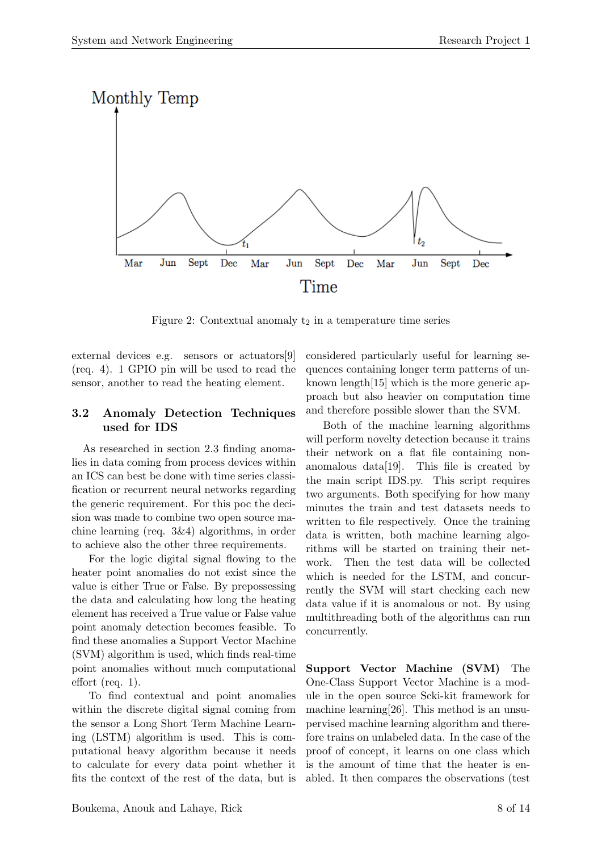<span id="page-7-1"></span>

Figure 2: Contextual anomaly  $t_2$  in a temperature time series

external devices e.g. sensors or actuators[\[9\]](#page-12-17) (req. 4). 1 GPIO pin will be used to read the sensor, another to read the heating element.

### <span id="page-7-0"></span>3.2 Anomaly Detection Techniques used for IDS

As researched in section 2.3 finding anomalies in data coming from process devices within an ICS can best be done with time series classification or recurrent neural networks regarding the generic requirement. For this poc the decision was made to combine two open source machine learning (req. 3&4) algorithms, in order to achieve also the other three requirements.

For the logic digital signal flowing to the heater point anomalies do not exist since the value is either True or False. By prepossessing the data and calculating how long the heating element has received a True value or False value point anomaly detection becomes feasible. To find these anomalies a Support Vector Machine (SVM) algorithm is used, which finds real-time point anomalies without much computational effort (req. 1).

To find contextual and point anomalies within the discrete digital signal coming from the sensor a Long Short Term Machine Learning (LSTM) algorithm is used. This is computational heavy algorithm because it needs to calculate for every data point whether it fits the context of the rest of the data, but is

considered particularly useful for learning sequences containing longer term patterns of unknown length[\[15\]](#page-12-18) which is the more generic approach but also heavier on computation time and therefore possible slower than the SVM.

Both of the machine learning algorithms will perform novelty detection because it trains their network on a flat file containing nonanomalous data[\[19\]](#page-12-19). This file is created by the main script IDS.py. This script requires two arguments. Both specifying for how many minutes the train and test datasets needs to written to file respectively. Once the training data is written, both machine learning algorithms will be started on training their network. Then the test data will be collected which is needed for the LSTM, and concurrently the SVM will start checking each new data value if it is anomalous or not. By using multithreading both of the algorithms can run concurrently.

Support Vector Machine (SVM) The One-Class Support Vector Machine is a module in the open source Scki-kit framework for machine learning[\[26\]](#page-13-10). This method is an unsupervised machine learning algorithm and therefore trains on unlabeled data. In the case of the proof of concept, it learns on one class which is the amount of time that the heater is enabled. It then compares the observations (test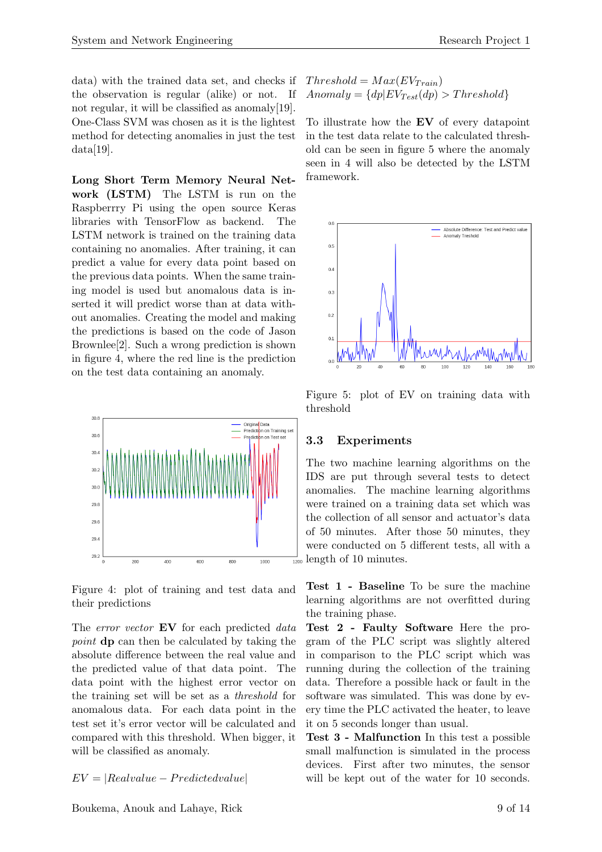data) with the trained data set, and checks if the observation is regular (alike) or not. If not regular, it will be classified as anomaly[\[19\]](#page-12-19). One-Class SVM was chosen as it is the lightest method for detecting anomalies in just the test  $data[19]$  $data[19]$ .

Long Short Term Memory Neural Network (LSTM) The LSTM is run on the Raspberrry Pi using the open source Keras libraries with TensorFlow as backend. The LSTM network is trained on the training data containing no anomalies. After training, it can predict a value for every data point based on the previous data points. When the same training model is used but anomalous data is inserted it will predict worse than at data without anomalies. Creating the model and making the predictions is based on the code of Jason Brownlee[\[2\]](#page-12-20). Such a wrong prediction is shown in figure [4,](#page-8-1) where the red line is the prediction on the test data containing an anomaly.



<span id="page-8-1"></span>Figure 4: plot of training and test data and their predictions

The *error vector* EV for each predicted *data point* **dp** can then be calculated by taking the absolute difference between the real value and the predicted value of that data point. The data point with the highest error vector on the training set will be set as a *threshold* for anomalous data. For each data point in the test set it's error vector will be calculated and compared with this threshold. When bigger, it will be classified as anomaly.

#### *EV* = *|Realvalue P redictedvalue|*

$$
Threshold = Max(EV_{Train})
$$
  
 
$$
Amount = {dp|EV_{Test}(dp) > Threshold}
$$

To illustrate how the EV of every datapoint in the test data relate to the calculated threshold can be seen in figure [5](#page-8-2) where the anomaly seen in [4](#page-8-1) will also be detected by the LSTM framework.



<span id="page-8-2"></span>Figure 5: plot of EV on training data with threshold

### <span id="page-8-0"></span>3.3 Experiments

The two machine learning algorithms on the IDS are put through several tests to detect anomalies. The machine learning algorithms were trained on a training data set which was the collection of all sensor and actuator's data of 50 minutes. After those 50 minutes, they were conducted on 5 different tests, all with a  $\frac{1}{1200}$  length of 10 minutes.

Test 1 - Baseline To be sure the machine learning algorithms are not overfitted during the training phase.

Test 2 - Faulty Software Here the program of the PLC script was slightly altered in comparison to the PLC script which was running during the collection of the training data. Therefore a possible hack or fault in the software was simulated. This was done by every time the PLC activated the heater, to leave it on 5 seconds longer than usual.

Test 3 - Malfunction In this test a possible small malfunction is simulated in the process devices. First after two minutes, the sensor will be kept out of the water for 10 seconds.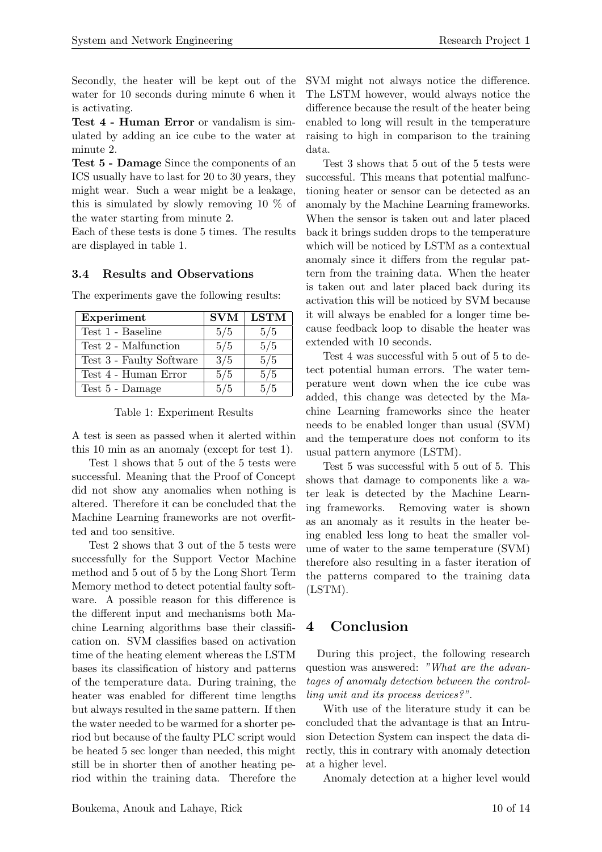Secondly, the heater will be kept out of the water for 10 seconds during minute 6 when it is activating.

Test 4 - Human Error or vandalism is simulated by adding an ice cube to the water at minute 2.

Test 5 - Damage Since the components of an ICS usually have to last for 20 to 30 years, they might wear. Such a wear might be a leakage, this is simulated by slowly removing 10 % of the water starting from minute 2.

Each of these tests is done 5 times. The results are displayed in table [1.](#page-9-2)

### <span id="page-9-0"></span>3.4 Results and Observations

| Experiment               | <b>SVM</b> | <b>LSTM</b> |
|--------------------------|------------|-------------|
| Test 1 - Baseline        | 5/5        | 5/5         |
| Test 2 - Malfunction     | 5/5        | 5/5         |
| Test 3 - Faulty Software | 3/5        | 5/5         |
| Test 4 - Human Error     | 5/5        | 5/5         |
| Test 5 - Damage          | 5/5        | 5/5         |

The experiments gave the following results:

### <span id="page-9-2"></span>Table 1: Experiment Results

A test is seen as passed when it alerted within this 10 min as an anomaly (except for test 1).

Test 1 shows that 5 out of the 5 tests were successful. Meaning that the Proof of Concept did not show any anomalies when nothing is altered. Therefore it can be concluded that the Machine Learning frameworks are not overfitted and too sensitive.

Test 2 shows that 3 out of the 5 tests were successfully for the Support Vector Machine method and 5 out of 5 by the Long Short Term Memory method to detect potential faulty software. A possible reason for this difference is the different input and mechanisms both Machine Learning algorithms base their classification on. SVM classifies based on activation time of the heating element whereas the LSTM bases its classification of history and patterns of the temperature data. During training, the heater was enabled for different time lengths but always resulted in the same pattern. If then the water needed to be warmed for a shorter period but because of the faulty PLC script would be heated 5 sec longer than needed, this might still be in shorter then of another heating period within the training data. Therefore the

SVM might not always notice the difference. The LSTM however, would always notice the difference because the result of the heater being enabled to long will result in the temperature raising to high in comparison to the training data.

Test 3 shows that 5 out of the 5 tests were successful. This means that potential malfunctioning heater or sensor can be detected as an anomaly by the Machine Learning frameworks. When the sensor is taken out and later placed back it brings sudden drops to the temperature which will be noticed by LSTM as a contextual anomaly since it differs from the regular pattern from the training data. When the heater is taken out and later placed back during its activation this will be noticed by SVM because it will always be enabled for a longer time because feedback loop to disable the heater was extended with 10 seconds.

Test 4 was successful with 5 out of 5 to detect potential human errors. The water temperature went down when the ice cube was added, this change was detected by the Machine Learning frameworks since the heater needs to be enabled longer than usual (SVM) and the temperature does not conform to its usual pattern anymore (LSTM).

Test 5 was successful with 5 out of 5. This shows that damage to components like a water leak is detected by the Machine Learning frameworks. Removing water is shown as an anomaly as it results in the heater being enabled less long to heat the smaller volume of water to the same temperature (SVM) therefore also resulting in a faster iteration of the patterns compared to the training data (LSTM).

# <span id="page-9-1"></span>4 Conclusion

During this project, the following research question was answered: *"What are the advantages of anomaly detection between the controlling unit and its process devices?"*.

With use of the literature study it can be concluded that the advantage is that an Intrusion Detection System can inspect the data directly, this in contrary with anomaly detection at a higher level.

Anomaly detection at a higher level would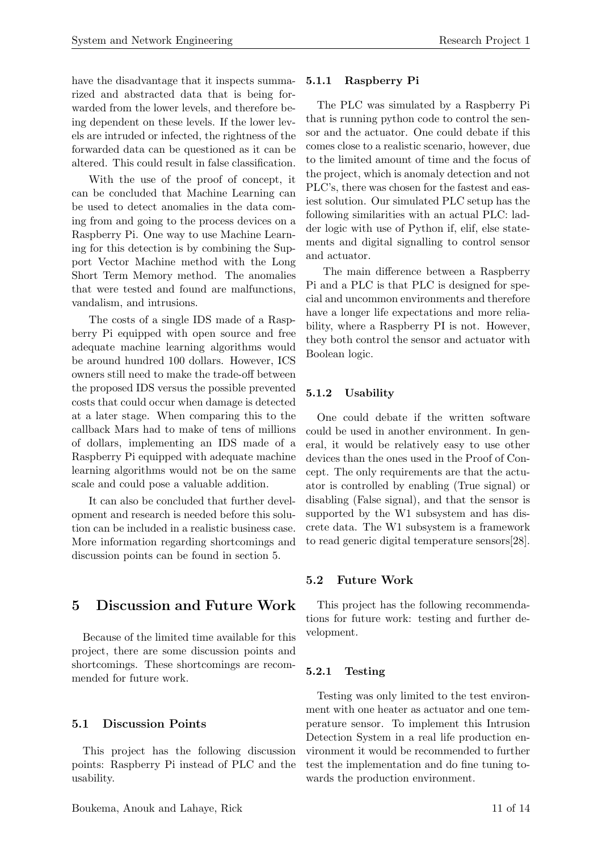have the disadvantage that it inspects summarized and abstracted data that is being forwarded from the lower levels, and therefore being dependent on these levels. If the lower levels are intruded or infected, the rightness of the forwarded data can be questioned as it can be altered. This could result in false classification.

With the use of the proof of concept, it can be concluded that Machine Learning can be used to detect anomalies in the data coming from and going to the process devices on a Raspberry Pi. One way to use Machine Learning for this detection is by combining the Support Vector Machine method with the Long Short Term Memory method. The anomalies that were tested and found are malfunctions, vandalism, and intrusions.

The costs of a single IDS made of a Raspberry Pi equipped with open source and free adequate machine learning algorithms would be around hundred 100 dollars. However, ICS owners still need to make the trade-off between the proposed IDS versus the possible prevented costs that could occur when damage is detected at a later stage. When comparing this to the callback Mars had to make of tens of millions of dollars, implementing an IDS made of a Raspberry Pi equipped with adequate machine learning algorithms would not be on the same scale and could pose a valuable addition.

It can also be concluded that further development and research is needed before this solution can be included in a realistic business case. More information regarding shortcomings and discussion points can be found in section [5.](#page-10-0)

# <span id="page-10-0"></span>5 Discussion and Future Work

Because of the limited time available for this project, there are some discussion points and shortcomings. These shortcomings are recommended for future work.

#### <span id="page-10-1"></span>5.1 Discussion Points

This project has the following discussion points: Raspberry Pi instead of PLC and the usability.

#### <span id="page-10-2"></span>5.1.1 Raspberry Pi

The PLC was simulated by a Raspberry Pi that is running python code to control the sensor and the actuator. One could debate if this comes close to a realistic scenario, however, due to the limited amount of time and the focus of the project, which is anomaly detection and not PLC's, there was chosen for the fastest and easiest solution. Our simulated PLC setup has the following similarities with an actual PLC: ladder logic with use of Python if, elif, else statements and digital signalling to control sensor and actuator.

The main difference between a Raspberry Pi and a PLC is that PLC is designed for special and uncommon environments and therefore have a longer life expectations and more reliability, where a Raspberry PI is not. However, they both control the sensor and actuator with Boolean logic.

#### <span id="page-10-3"></span>5.1.2 Usability

One could debate if the written software could be used in another environment. In general, it would be relatively easy to use other devices than the ones used in the Proof of Concept. The only requirements are that the actuator is controlled by enabling (True signal) or disabling (False signal), and that the sensor is supported by the W1 subsystem and has discrete data. The W1 subsystem is a framework to read generic digital temperature sensors[\[28\]](#page-13-11).

#### <span id="page-10-4"></span>5.2 Future Work

This project has the following recommendations for future work: testing and further development.

#### <span id="page-10-5"></span>5.2.1 Testing

Testing was only limited to the test environment with one heater as actuator and one temperature sensor. To implement this Intrusion Detection System in a real life production environment it would be recommended to further test the implementation and do fine tuning towards the production environment.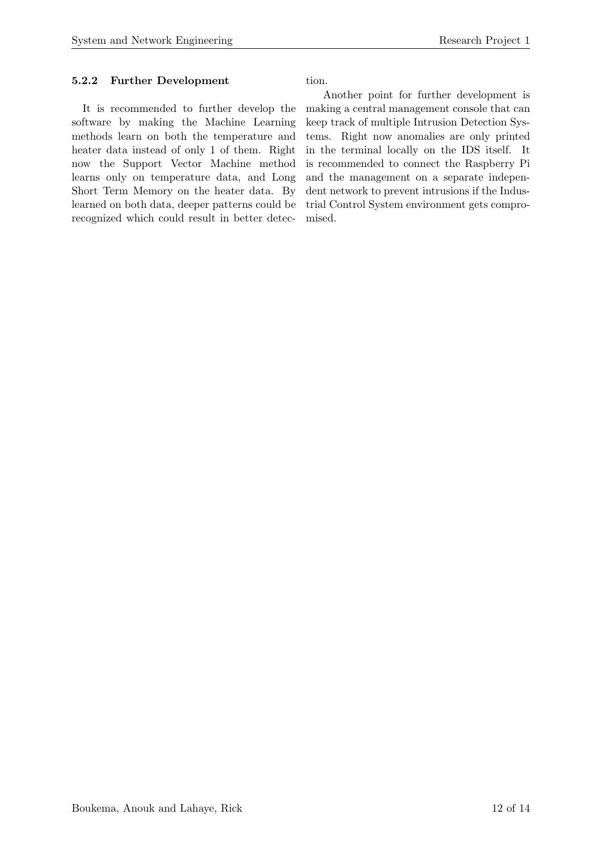### <span id="page-11-0"></span>5.2.2 Further Development

It is recommended to further develop the software by making the Machine Learning methods learn on both the temperature and heater data instead of only 1 of them. Right now the Support Vector Machine method learns only on temperature data, and Long Short Term Memory on the heater data. By learned on both data, deeper patterns could be recognized which could result in better detec-

tion.

Another point for further development is making a central management console that can keep track of multiple Intrusion Detection Systems. Right now anomalies are only printed in the terminal locally on the IDS itself. It is recommended to connect the Raspberry Pi and the management on a separate independent network to prevent intrusions if the Industrial Control System environment gets compromised.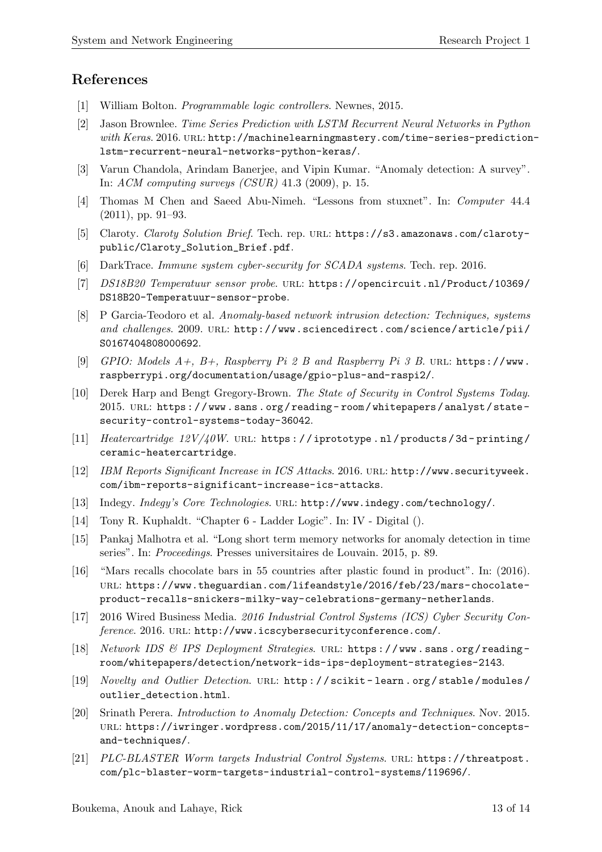# References

- <span id="page-12-10"></span>[1] William Bolton. *Programmable logic controllers*. Newnes, 2015.
- <span id="page-12-20"></span>[2] Jason Brownlee. *Time Series Prediction with LSTM Recurrent Neural Networks in Python with Keras*. 2016. url: [http://machinelearningmastery.com/time-series-prediction](http://machinelearningmastery.com/time-series-prediction-lstm-recurrent-neural-networks-python-keras/)[lstm-recurrent-neural-networks-python-keras/](http://machinelearningmastery.com/time-series-prediction-lstm-recurrent-neural-networks-python-keras/).
- <span id="page-12-11"></span>[3] Varun Chandola, Arindam Banerjee, and Vipin Kumar. "Anomaly detection: A survey". In: *ACM computing surveys (CSUR)* 41.3 (2009), p. 15.
- <span id="page-12-0"></span>[4] Thomas M Chen and Saeed Abu-Nimeh. "Lessons from stuxnet". In: *Computer* 44.4 (2011), pp. 91–93.
- <span id="page-12-6"></span>[5] Claroty. *Claroty Solution Brief*. Tech. rep. url: [https://s3.amazonaws.com/claroty](https://s3.amazonaws.com/claroty-public/Claroty_Solution_Brief.pdf)[public/Claroty\\_Solution\\_Brief.pdf](https://s3.amazonaws.com/claroty-public/Claroty_Solution_Brief.pdf).
- <span id="page-12-8"></span>[6] DarkTrace. *Immune system cyber-security for SCADA systems*. Tech. rep. 2016.
- <span id="page-12-14"></span>[7] *DS18B20 Temperatuur sensor probe*. url: [https://opencircuit.nl/Product/10369/](https://opencircuit.nl/Product/10369/DS18B20-Temperatuur-sensor-probe) [DS18B20-Temperatuur-sensor-probe](https://opencircuit.nl/Product/10369/DS18B20-Temperatuur-sensor-probe).
- <span id="page-12-12"></span>[8] P Garcia-Teodoro et al. *Anomaly-based network intrusion detection: Techniques, systems and challenges*. 2009. url: [http://www.sciencedirect.com/science/article/pii/](http://www.sciencedirect.com/science/article/pii/S0167404808000692) [S0167404808000692](http://www.sciencedirect.com/science/article/pii/S0167404808000692).
- <span id="page-12-17"></span>[9] *GPIO: Models A+, B+, Raspberry Pi 2 B and Raspberry Pi 3 B*. url: [https://www.](https://www.raspberrypi.org/documentation/usage/gpio-plus-and-raspi2/) [raspberrypi.org/documentation/usage/gpio-plus-and-raspi2/](https://www.raspberrypi.org/documentation/usage/gpio-plus-and-raspi2/).
- <span id="page-12-9"></span>[10] Derek Harp and Bengt Gregory-Brown. *The State of Security in Control Systems Today*. 2015. URL: https://www.sans.org/reading-room/whitepapers/analyst/state[security-control-systems-today-36042](https://www.sans.org/reading-room/whitepapers/analyst/state-security-control-systems-today-36042).
- <span id="page-12-15"></span>[11] *Heatercartridge 12V/40W.* URL: https://iprototype.nl/products/3d-printing/ [ceramic-heatercartridge](https://iprototype.nl/products/3d-printing/ceramic-heatercartridge).
- <span id="page-12-1"></span>[12] *IBM Reports Significant Increase in ICS Attacks*. 2016. url: [http://www.securityweek.](http://www.securityweek.com/ibm-reports-significant-increase-ics-attacks) [com/ibm-reports-significant-increase-ics-attacks](http://www.securityweek.com/ibm-reports-significant-increase-ics-attacks).
- <span id="page-12-7"></span>[13] Indegy. *Indegy's Core Technologies*. URL: <http://www.indegy.com/technology/>.
- <span id="page-12-16"></span>[14] Tony R. Kuphaldt. "Chapter 6 - Ladder Logic". In: IV - Digital ().
- <span id="page-12-18"></span>[15] Pankaj Malhotra et al. "Long short term memory networks for anomaly detection in time series". In: *Proceedings*. Presses universitaires de Louvain. 2015, p. 89.
- <span id="page-12-3"></span>[16] "Mars recalls chocolate bars in 55 countries after plastic found in product". In: (2016). url: [https://www.theguardian.com/lifeandstyle/2016/feb/23/mars-chocolate](https://www.theguardian.com/lifeandstyle/2016/feb/23/mars-chocolate-product-recalls-snickers-milky-way-celebrations-germany-netherlands)[product-recalls-snickers-milky-way-celebrations-germany-netherlands](https://www.theguardian.com/lifeandstyle/2016/feb/23/mars-chocolate-product-recalls-snickers-milky-way-celebrations-germany-netherlands).
- <span id="page-12-5"></span>[17] 2016 Wired Business Media. *2016 Industrial Control Systems (ICS) Cyber Security Conference*. 2016. url: <http://www.icscybersecurityconference.com/>.
- <span id="page-12-4"></span>[18] *Network IDS & IPS Deployment Strategies*. url: [https : / / www . sans . org / reading](https://www.sans.org/reading-room/whitepapers/detection/network-ids-ips-deployment-strategies-2143)  [room/whitepapers/detection/network-ids-ips-deployment-strategies-2143](https://www.sans.org/reading-room/whitepapers/detection/network-ids-ips-deployment-strategies-2143).
- <span id="page-12-19"></span>[19] *Novelty and Outlier Detection*. URL: http://scikit-learn.org/stable/modules/ [outlier\\_detection.html](http://scikit-learn.org/stable/modules/outlier_detection.html).
- <span id="page-12-13"></span>[20] Srinath Perera. *Introduction to Anomaly Detection: Concepts and Techniques*. Nov. 2015. url: [https://iwringer.wordpress.com/2015/11/17/anomaly-detection-concepts](https://iwringer.wordpress.com/2015/11/17/anomaly-detection-concepts-and-techniques/)[and-techniques/](https://iwringer.wordpress.com/2015/11/17/anomaly-detection-concepts-and-techniques/).
- <span id="page-12-2"></span>[21] *PLC-BLASTER Worm targets Industrial Control Systems*. url: [https://threatpost.](https://threatpost.com/plc-blaster-worm-targets-industrial-control-systems/119696/) [com/plc-blaster-worm-targets-industrial-control-systems/119696/](https://threatpost.com/plc-blaster-worm-targets-industrial-control-systems/119696/).